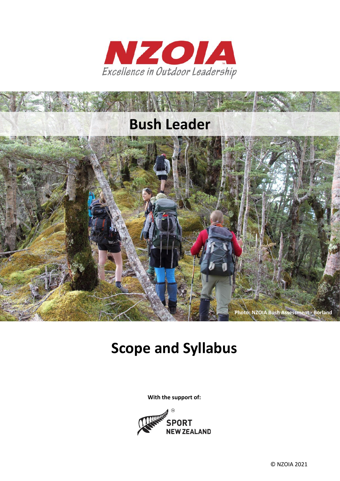



# **Scope and Syllabus**

**With the support of:**

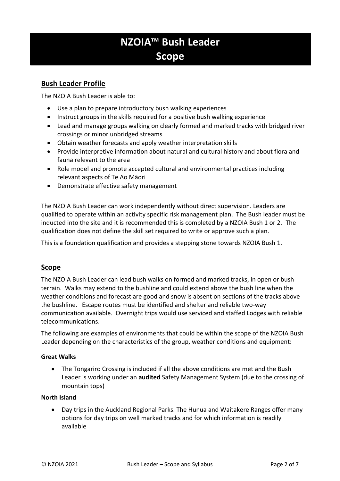# **NZOIA™ Bush Leader Scope**

# **Bush Leader Profile**

The NZOIA Bush Leader is able to:

- Use a plan to prepare introductory bush walking experiences
- Instruct groups in the skills required for a positive bush walking experience
- Lead and manage groups walking on clearly formed and marked tracks with bridged river crossings or minor unbridged streams
- Obtain weather forecasts and apply weather interpretation skills
- Provide interpretive information about natural and cultural history and about flora and fauna relevant to the area
- Role model and promote accepted cultural and environmental practices including relevant aspects of Te Ao Māori
- Demonstrate effective safety management

The NZOIA Bush Leader can work independently without direct supervision. Leaders are qualified to operate within an activity specific risk management plan. The Bush leader must be inducted into the site and it is recommended this is completed by a NZOIA Bush 1 or 2. The qualification does not define the skill set required to write or approve such a plan.

This is a foundation qualification and provides a stepping stone towards NZOIA Bush 1.

# **Scope**

The NZOIA Bush Leader can lead bush walks on formed and marked tracks, in open or bush terrain. Walks may extend to the bushline and could extend above the bush line when the weather conditions and forecast are good and snow is absent on sections of the tracks above the bushline. Escape routes must be identified and shelter and reliable two-way communication available. Overnight trips would use serviced and staffed Lodges with reliable telecommunications.

The following are examples of environments that could be within the scope of the NZOIA Bush Leader depending on the characteristics of the group, weather conditions and equipment:

#### **Great Walks**

• The Tongariro Crossing is included if all the above conditions are met and the Bush Leader is working under an **audited** Safety Management System (due to the crossing of mountain tops)

#### **North Island**

• Day trips in the Auckland Regional Parks. The Hunua and Waitakere Ranges offer many options for day trips on well marked tracks and for which information is readily available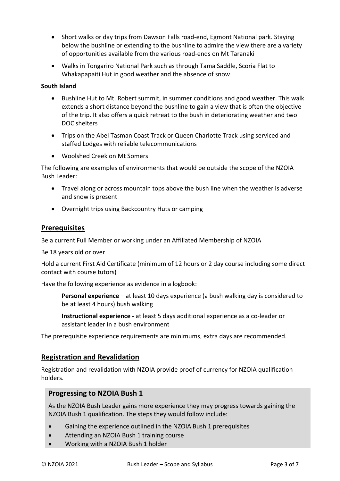- Short walks or day trips from Dawson Falls road-end, Egmont National park. Staying below the bushline or extending to the bushline to admire the view there are a variety of opportunities available from the various road-ends on Mt Taranaki
- Walks in Tongariro National Park such as through Tama Saddle, Scoria Flat to Whakapapaiti Hut in good weather and the absence of snow

#### **South Island**

- Bushline Hut to Mt. Robert summit, in summer conditions and good weather. This walk extends a short distance beyond the bushline to gain a view that is often the objective of the trip. It also offers a quick retreat to the bush in deteriorating weather and two DOC shelters
- Trips on the Abel Tasman Coast Track or Queen Charlotte Track using serviced and staffed Lodges with reliable telecommunications
- Woolshed Creek on Mt Somers

The following are examples of environments that would be outside the scope of the NZOIA Bush Leader:

- Travel along or across mountain tops above the bush line when the weather is adverse and snow is present
- Overnight trips using Backcountry Huts or camping

# **Prerequisites**

Be a current Full Member or working under an Affiliated Membership of NZOIA

Be 18 years old or over

Hold a current First Aid Certificate (minimum of 12 hours or 2 day course including some direct contact with course tutors)

Have the following experience as evidence in a logbook:

**Personal experience** – at least 10 days experience (a bush walking day is considered to be at least 4 hours) bush walking

**Instructional experience -** at least 5 days additional experience as a co-leader or assistant leader in a bush environment

The prerequisite experience requirements are minimums, extra days are recommended.

# **Registration and Revalidation**

Registration and revalidation with NZOIA provide proof of currency for NZOIA qualification holders.

# **Progressing to NZOIA Bush 1**

As the NZOIA Bush Leader gains more experience they may progress towards gaining the NZOIA Bush 1 qualification. The steps they would follow include:

- Gaining the experience outlined in the NZOIA Bush 1 prerequisites
- Attending an NZOIA Bush 1 training course
- Working with a NZOIA Bush 1 holder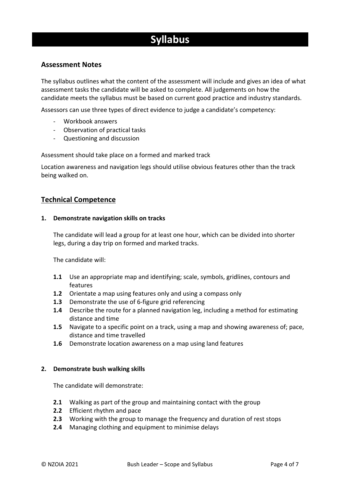# **Syllabus**

# **Assessment Notes**

The syllabus outlines what the content of the assessment will include and gives an idea of what assessment tasks the candidate will be asked to complete. All judgements on how the candidate meets the syllabus must be based on current good practice and industry standards.

Assessors can use three types of direct evidence to judge a candidate's competency:

- Workbook answers
- Observation of practical tasks
- Questioning and discussion

Assessment should take place on a formed and marked track

Location awareness and navigation legs should utilise obvious features other than the track being walked on.

# **Technical Competence**

#### **1. Demonstrate navigation skills on tracks**

The candidate will lead a group for at least one hour, which can be divided into shorter legs, during a day trip on formed and marked tracks.

The candidate will:

- **1.1** Use an appropriate map and identifying; scale, symbols, gridlines, contours and features
- **1.2** Orientate a map using features only and using a compass only
- **1.3** Demonstrate the use of 6-figure grid referencing
- **1.4** Describe the route for a planned navigation leg, including a method for estimating distance and time
- **1.5** Navigate to a specific point on a track, using a map and showing awareness of; pace, distance and time travelled
- **1.6** Demonstrate location awareness on a map using land features

#### **2. Demonstrate bush walking skills**

The candidate will demonstrate:

- **2.1** Walking as part of the group and maintaining contact with the group
- **2.2** Efficient rhythm and pace
- **2.3** Working with the group to manage the frequency and duration of rest stops
- **2.4** Managing clothing and equipment to minimise delays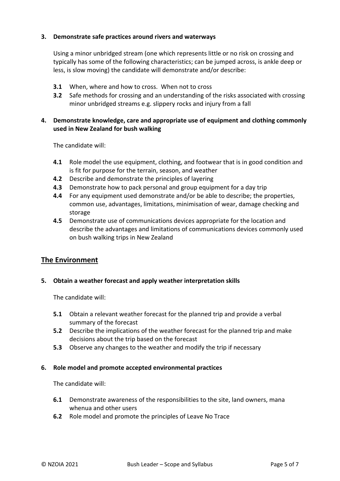#### **3. Demonstrate safe practices around rivers and waterways**

Using a minor unbridged stream (one which represents little or no risk on crossing and typically has some of the following characteristics; can be jumped across, is ankle deep or less, is slow moving) the candidate will demonstrate and/or describe:

- **3.1** When, where and how to cross. When not to cross
- **3.2** Safe methods for crossing and an understanding of the risks associated with crossing minor unbridged streams e.g. slippery rocks and injury from a fall

# **4. Demonstrate knowledge, care and appropriate use of equipment and clothing commonly used in New Zealand for bush walking**

The candidate will:

- **4.1** Role model the use equipment, clothing, and footwear that is in good condition and is fit for purpose for the terrain, season, and weather
- **4.2** Describe and demonstrate the principles of layering
- **4.3** Demonstrate how to pack personal and group equipment for a day trip
- **4.4** For any equipment used demonstrate and/or be able to describe; the properties, common use, advantages, limitations, minimisation of wear, damage checking and storage
- **4.5** Demonstrate use of communications devices appropriate for the location and describe the advantages and limitations of communications devices commonly used on bush walking trips in New Zealand

# **The Environment**

#### **5. Obtain a weather forecast and apply weather interpretation skills**

The candidate will:

- **5.1** Obtain a relevant weather forecast for the planned trip and provide a verbal summary of the forecast
- **5.2** Describe the implications of the weather forecast for the planned trip and make decisions about the trip based on the forecast
- **5.3** Observe any changes to the weather and modify the trip if necessary

#### **6. Role model and promote accepted environmental practices**

The candidate will:

- **6.1** Demonstrate awareness of the responsibilities to the site, land owners, mana whenua and other users
- **6.2** Role model and promote the principles of Leave No Trace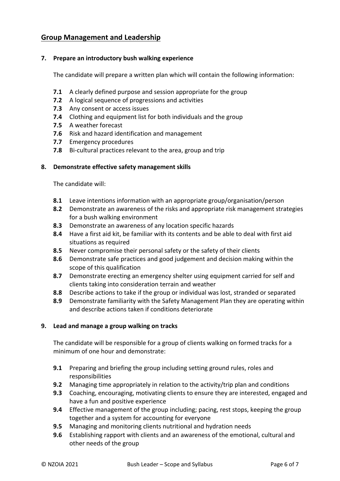# **Group Management and Leadership**

#### **7. Prepare an introductory bush walking experience**

The candidate will prepare a written plan which will contain the following information:

- **7.1** A clearly defined purpose and session appropriate for the group
- **7.2** A logical sequence of progressions and activities
- **7.3** Any consent or access issues
- **7.4** Clothing and equipment list for both individuals and the group
- **7.5** A weather forecast
- **7.6** Risk and hazard identification and management
- **7.7** Emergency procedures
- **7.8** Bi-cultural practices relevant to the area, group and trip

#### **8. Demonstrate effective safety management skills**

The candidate will:

- **8.1** Leave intentions information with an appropriate group/organisation/person
- **8.2** Demonstrate an awareness of the risks and appropriate risk management strategies for a bush walking environment
- **8.3** Demonstrate an awareness of any location specific hazards
- **8.4** Have a first aid kit, be familiar with its contents and be able to deal with first aid situations as required
- **8.5** Never compromise their personal safety or the safety of their clients
- **8.6** Demonstrate safe practices and good judgement and decision making within the scope of this qualification
- **8.7** Demonstrate erecting an emergency shelter using equipment carried for self and clients taking into consideration terrain and weather
- **8.8** Describe actions to take if the group or individual was lost, stranded or separated
- **8.9** Demonstrate familiarity with the Safety Management Plan they are operating within and describe actions taken if conditions deteriorate

#### **9. Lead and manage a group walking on tracks**

The candidate will be responsible for a group of clients walking on formed tracks for a minimum of one hour and demonstrate:

- **9.1** Preparing and briefing the group including setting ground rules, roles and responsibilities
- **9.2** Managing time appropriately in relation to the activity/trip plan and conditions
- **9.3** Coaching, encouraging, motivating clients to ensure they are interested, engaged and have a fun and positive experience
- **9.4** Effective management of the group including; pacing, rest stops, keeping the group together and a system for accounting for everyone
- **9.5** Managing and monitoring clients nutritional and hydration needs
- **9.6** Establishing rapport with clients and an awareness of the emotional, cultural and other needs of the group